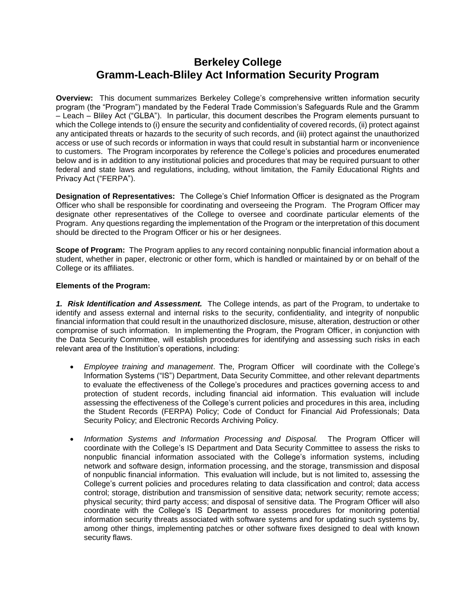## **Berkeley College Gramm-Leach-Bliley Act Information Security Program**

**Overview:** This document summarizes Berkeley College's comprehensive written information security program (the "Program") mandated by the Federal Trade Commission's Safeguards Rule and the Gramm – Leach – Bliley Act ("GLBA"). In particular, this document describes the Program elements pursuant to which the College intends to (i) ensure the security and confidentiality of covered records, (ii) protect against any anticipated threats or hazards to the security of such records, and (iii) protect against the unauthorized access or use of such records or information in ways that could result in substantial harm or inconvenience to customers. The Program incorporates by reference the College's policies and procedures enumerated below and is in addition to any institutional policies and procedures that may be required pursuant to other federal and state laws and regulations, including, without limitation, the Family Educational Rights and Privacy Act ("FERPA").

**Designation of Representatives:** The College's Chief Information Officer is designated as the Program Officer who shall be responsible for coordinating and overseeing the Program. The Program Officer may designate other representatives of the College to oversee and coordinate particular elements of the Program. Any questions regarding the implementation of the Program or the interpretation of this document should be directed to the Program Officer or his or her designees.

**Scope of Program:** The Program applies to any record containing nonpublic financial information about a student, whether in paper, electronic or other form, which is handled or maintained by or on behalf of the College or its affiliates.

## **Elements of the Program:**

*1. Risk Identification and Assessment.* The College intends, as part of the Program, to undertake to identify and assess external and internal risks to the security, confidentiality, and integrity of nonpublic financial information that could result in the unauthorized disclosure, misuse, alteration, destruction or other compromise of such information. In implementing the Program, the Program Officer, in conjunction with the Data Security Committee, will establish procedures for identifying and assessing such risks in each relevant area of the Institution's operations, including:

- *Employee training and management*. The, Program Officer will coordinate with the College's Information Systems ("IS") Department, Data Security Committee, and other relevant departments to evaluate the effectiveness of the College's procedures and practices governing access to and protection of student records, including financial aid information. This evaluation will include assessing the effectiveness of the College's current policies and procedures in this area, including the Student Records (FERPA) Policy; Code of Conduct for Financial Aid Professionals; Data Security Policy; and Electronic Records Archiving Policy.
- *Information Systems and Information Processing and Disposal.* The Program Officer will coordinate with the College's IS Department and Data Security Committee to assess the risks to nonpublic financial information associated with the College's information systems, including network and software design, information processing, and the storage, transmission and disposal of nonpublic financial information. This evaluation will include, but is not limited to, assessing the College's current policies and procedures relating to data classification and control; data access control; storage, distribution and transmission of sensitive data; network security; remote access; physical security; third party access; and disposal of sensitive data. The Program Officer will also coordinate with the College's IS Department to assess procedures for monitoring potential information security threats associated with software systems and for updating such systems by, among other things, implementing patches or other software fixes designed to deal with known security flaws.